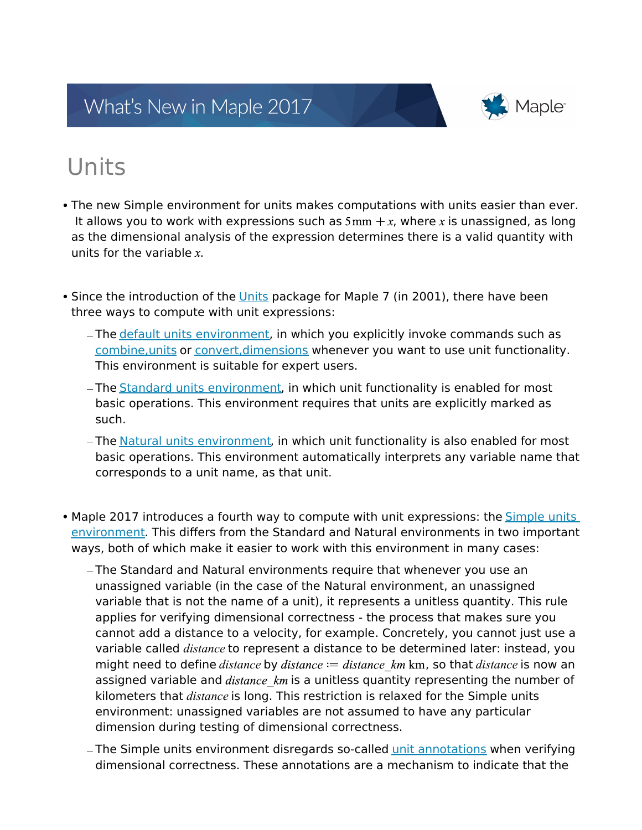## What's New in Maple 2017



# Units

- The new Simple environment for units makes computations with units easier than ever. It allows you to work with expressions such as  $5 \text{mm} + x$ , where x is unassigned, as long as the dimensional analysis of the expression determines there is a valid quantity with units for the variable  $x$ .
- Since the introduction of the Units package for Maple 7 (in 2001), there have been three ways to compute with unit expressions:
	- The default units environment, in which you explicitly invoke commands such as combine,units or convert,dimensions whenever you want to use unit functionality. This environment is suitable for expert users.
	- The Standard units environment, in which unit functionality is enabled for most basic operations. This environment requires that units are explicitly marked as such.
	- The Natural units environment, in which unit functionality is also enabled for most basic operations. This environment automatically interprets any variable name that corresponds to a unit name, as that unit.
- Maple 2017 introduces a fourth way to compute with unit expressions: the **Simple units** environment. This differs from the Standard and Natural environments in two important ways, both of which make it easier to work with this environment in many cases:
	- The Standard and Natural environments require that whenever you use an unassigned variable (in the case of the Natural environment, an unassigned variable that is not the name of a unit), it represents a unitless quantity. This rule applies for verifying dimensional correctness - the process that makes sure you cannot add a distance to a velocity, for example. Concretely, you cannot just use a variable called *distance* to represent a distance to be determined later: instead, you might need to define *distance* by *distance*  $:=$  *distance*  $km$  km, so that *distance* is now an assigned variable and  $distance \, km$  is a unitless quantity representing the number of kilometers that *distance* is long. This restriction is relaxed for the Simple units environment: unassigned variables are not assumed to have any particular dimension during testing of dimensional correctness.
	- The Simple units environment disregards so-called unit annotations when verifying dimensional correctness. These annotations are a mechanism to indicate that the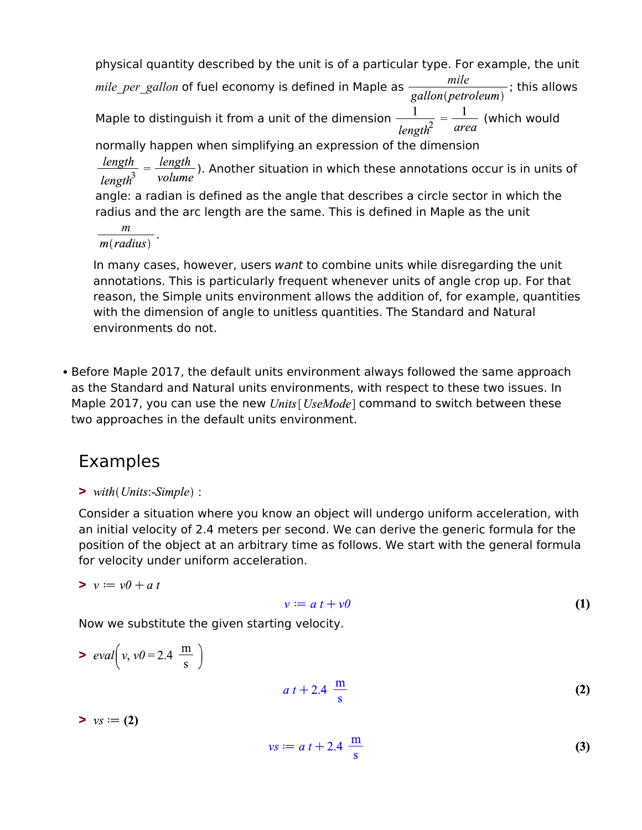physical quantity described by the unit is of a particular type. For example, the unit *mile\_per\_gallon* of fuel economy is defined in Maple as  $\frac{mile}{gallon(petroleum)}$ ; this allows Maple to distinguish it from a unit of the dimension  $\frac{1}{length^2} = \frac{1}{area}$  (which would normally happen when simplifying an expression of the dimension  $\frac{length}{length^3} = \frac{length}{volume}$ ). Another situation in which these annotations occur is in units of angle: a radian is defined as the angle that describes a circle sector in which the radius and the arc length are the same. This is defined in Maple as the unit  $\frac{m}{l}$ .

In many cases, however, users *want* to combine units while disregarding the unit annotations. This is particularly frequent whenever units of angle crop up. For that reason, the Simple units environment allows the addition of, for example, quantities with the dimension of angle to unitless quantities. The Standard and Natural environments do not.

Before Maple 2017, the default units environment always followed the same approach as the Standard and Natural units environments, with respect to these two issues. In Maple 2017, you can use the new  $Units[UseMode]$  command to switch between these two approaches in the default units environment.

## Examples

**>** 

Consider a situation where you know an object will undergo uniform acceleration, with an initial velocity of 2.4 meters per second. We can derive the generic formula for the position of the object at an arbitrary time as follows. We start with the general formula for velocity under uniform acceleration.

$$
v := v\theta + a\,t
$$

#### $v := a t + v \theta$ **(1)**

Now we substitute the given starting velocity.

 $> \text{ } eval\left(v, v0 = 2.4 \frac{m}{s}\right)$  $a t + 2.4 \frac{m}{s}$ **(2)**  $> y_s := (2)$ 

$$
vs := a t + 2.4 \frac{m}{s}
$$
 (3)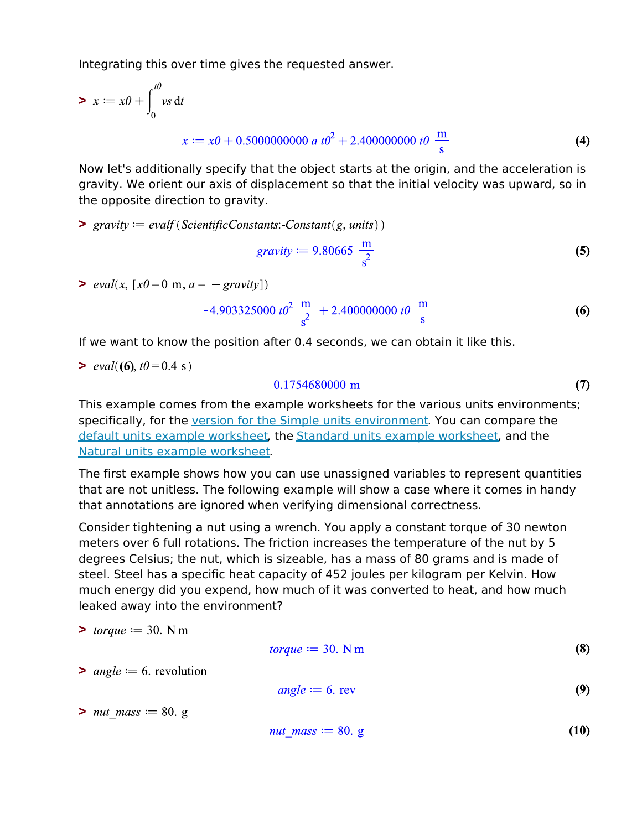Integrating this over time gives the requested answer.

$$
x := x0 + \int_0^{t0} vs \, dt
$$
  

$$
x := x0 + 0.50000000000 \, a \, t0^2 + 2.400000000 \, t0 \, \frac{m}{s}
$$
 (4)

Now let's additionally specify that the object starts at the origin, and the acceleration is gravity. We orient our axis of displacement so that the initial velocity was upward, so in the opposite direction to gravity.

 $\text{ }$  **>**  $\text{ }$   $\text{ }$   $\text{ }$   $\text{ }$   $\text{ }$   $\text{ }$   $\text{ }$   $\text{ }$   $\text{ }$   $\text{ }$   $\text{ }$   $\text{ }$   $\text{ }$   $\text{ }$   $\text{ }$   $\text{ }$   $\text{ }$   $\text{ }$   $\text{ }$   $\text{ }$   $\text{ }$   $\text{ }$   $\text{ }$   $\text{ }$   $\text{ }$   $\text{ }$   $\text{ }$   $\text{ }$   $\text{ }$   $\text{ }$ 

$$
gravity := 9.80665 \frac{\mathrm{m}}{\mathrm{s}^2}
$$
 (5)

 $> \text{eval}(x, [x0 = 0 \text{ m}, a = -\text{gravity}])$ 

$$
-4.903325000 \ t0^2 \ \frac{\text{m}}{\text{s}^2} + 2.400000000 \ t0 \ \frac{\text{m}}{\text{s}}
$$

If we want to know the position after 0.4 seconds, we can obtain it like this.

 $> \text{eval}((6), t0 = 0.4 \text{ s})$ 

#### $0.1754680000 \text{ m}$ **(7)**

This example comes from the example worksheets for the various units environments; specifically, for the version for the Simple units environment. You can compare the default units example worksheet, the Standard units example worksheet, and the Natural units example worksheet.

The first example shows how you can use unassigned variables to represent quantities that are not unitless. The following example will show a case where it comes in handy that annotations are ignored when verifying dimensional correctness.

Consider tightening a nut using a wrench. You apply a constant torque of 30 newton meters over 6 full rotations. The friction increases the temperature of the nut by 5 degrees Celsius; the nut, which is sizeable, has a mass of 80 grams and is made of steel. Steel has a specific heat capacity of 452 joules per kilogram per Kelvin. How much energy did you expend, how much of it was converted to heat, and how much leaked away into the environment?

$$
> \text{ torque} := 30. \text{ N m}
$$

$$
torque := 30. N m \tag{8}
$$

 $> angle := 6$ , revolution

$$
angle := 6. rev
$$
 (9)

**>** *nut mass*  $:= 80$ . g

$$
nut\_mass := 80. g \tag{10}
$$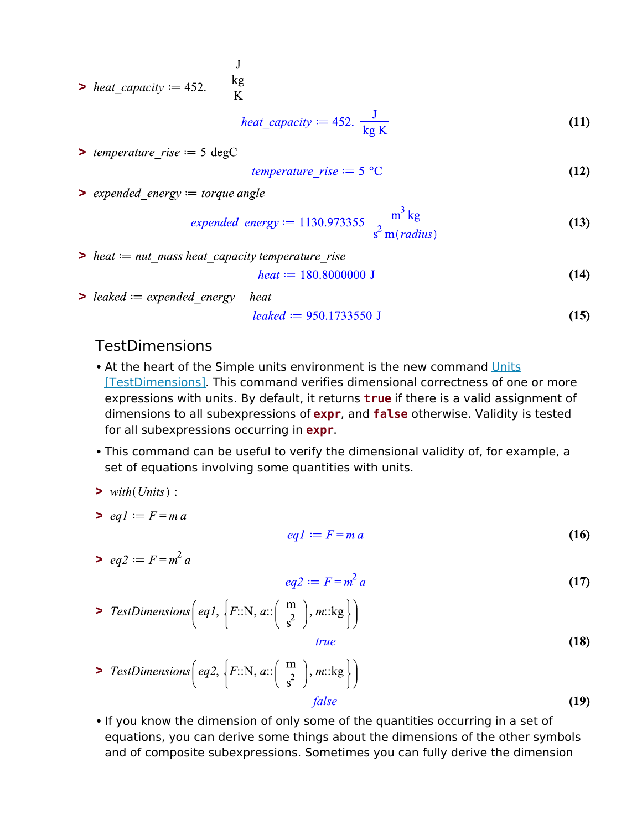> heat\_capacity  $:= 452. \frac{\frac{J}{kg}}{V}$ 

$$
heat\_capacity := 452. \frac{J}{kg K}
$$
 (11)

 $\geq$  *temperature rise*  $:= 5 \text{ degC}$ 

$$
temperature\_rise := 5 \, \text{°C} \tag{12}
$$

**>** expended energy = torque angle

$$
expended\_energy := 1130.973355 \frac{m^3 kg}{s^2 m(radius)}
$$
 (13)

 $\triangleright$  heat  $:=$  nut mass heat capacity temperature rise

$$
heat := 180.8000000 \text{ J}
$$
 (14)

 $\triangleright$  leaked  $:=$  expended energy  $-$  heat

$$
leaked := 950.1733550 \text{ J}
$$
 (15)

### TestDimensions

- At the heart of the Simple units environment is the new command Units [TestDimensions]. This command verifies dimensional correctness of one or more expressions with units. By default, it returns **true** if there is a valid assignment of dimensions to all subexpressions of **expr**, and **false** otherwise. Validity is tested for all subexpressions occurring in **expr**.
- This command can be useful to verify the dimensional validity of, for example, a set of equations involving some quantities with units.
- $\triangleright$  with  $Units$  :

$$
> eq1 := F = ma
$$

$$
eq1 := F = m a \tag{16}
$$

 $\Rightarrow$  eq2  $:= F = m^2 a$ 

 $eq2 \coloneqq F = m^2 a$ **(17)**

>  $TestDimensions\left(eq1, \{F::N, a::\left(\frac{m}{s^2}\right), m::kg\right\}\right)$ *true*

$$
f_{\rm{max}}
$$

\n
$$
\text{TestDimensions}\left(\text{eq2}, \left\{F::N, a::\left(\frac{m}{s^2}\right), m::\text{kg}\right\}\right)
$$
\n

\n\n $\text{false}$ \n

**(19)**

**(18)**

• If you know the dimension of only some of the quantities occurring in a set of equations, you can derive some things about the dimensions of the other symbols and of composite subexpressions. Sometimes you can fully derive the dimension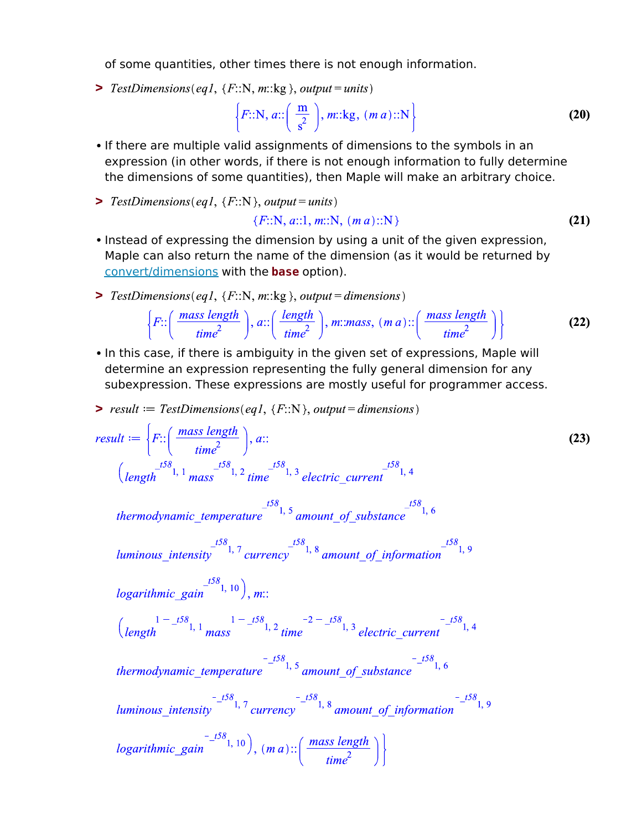of some quantities, other times there is not enough information.

>  $TestDimensions(eq1, {F::N, m::kg}, output = units)$ 

$$
\left\{F::N, a::\left(\frac{m}{s^2}\right), m::kg, (m\ a):N\right\}
$$
 (20)

- If there are multiple valid assignments of dimensions to the symbols in an expression (in other words, if there is not enough information to fully determine the dimensions of some quantities), then Maple will make an arbitrary choice.
- $\triangleright$  TestDimensions(eq1, {F::N}, output = units)

$$
{F::N, a::1, m::N, (m a)::N}
$$
 (21)

- Instead of expressing the dimension by using a unit of the given expression, Maple can also return the name of the dimension (as it would be returned by convert/dimensions with the **base** option).
- >  $TestDimensions(eq1, {F::N, m::kg}, output = dimensions)$

$$
\left\{ F::\left(\frac{mass\ length}{time^2}\right),\ a::\left(\frac{length}{time^2}\right),\ m::mass,\ (m\ a)::\left(\frac{mass\ length}{time^2}\right) \right\}
$$
 (22)

• In this case, if there is ambiguity in the given set of expressions, Maple will determine an expression representing the fully general dimension for any subexpression. These expressions are mostly useful for programmer access.

$$
p = result := TestDimensions(eq1, \{F::N\}, output = dimensions)
$$

result := 
$$
\left\{ F: \left( \frac{mass\ length}{time^2} \right), a: \right\}
$$
\n
$$
\left( \frac{^{.58}}{length}, 1 \frac{^{.58}}{mass}, 2 \text{ time} \right.\right\}^{\text{158}}, 3 \text{ electric\_current} \right\}^{^{.58}, 4}
$$
\n
$$
\text{thermodynamic\_temperature} \right\}^{\text{158}} \text{1, 5} \text{ amount\_of\_substance} \right\}^{^{.58}, 6}
$$
\n
$$
\text{luminous\_intensity} \left\{ \frac{^{.58}}{1, 7} \text{ currency} \right\}^{\text{158}}, 8 \text{ amount\_of\_information} \right\}^{^{.58}, 6}
$$
\n
$$
\text{logarithmic\_gain} \left\{ \frac{^{.58}}{1, 10} \right\}, m: \left\{ \frac{^{.58}}{length} \right\}^{1} \text{ mass} \right\}^{^{.58}, 10}
$$
\n
$$
\left\{ \frac{^{1 - .58}}{length} \right\} \text{1, 1} \text{ mass} \right\}^{^{.58}, 2 \text{ time} \right\}^{^{.2} - 2 - .58}, 3 \text{ electric\_current} \right\}^{^{.58}, 4}
$$
\n
$$
\text{thermodynamic\_temperature} \left\{ \frac{^{.58}}{1, 5} \text{ amount\_of\_substance} \right\}^{^{.58}, 6}
$$
\n
$$
\text{luminous\_intensity} \left\{ \frac{^{.58}}{1, 7} \text{ currency} \right\}^{^{.58}, 8} \text{ amount\_of\_information} \right\}^{^{.58}, 1, 9}
$$
\n
$$
\left\{ \frac{^{.58}}{time^2} \right\} \right\}
$$
\n
$$
\text{logarithmic\_gain} \left\{ \frac{^{.58}}{1, 10} \right\}, (m a): \left( \frac{mass\ length}{time^2} \right) \right\}
$$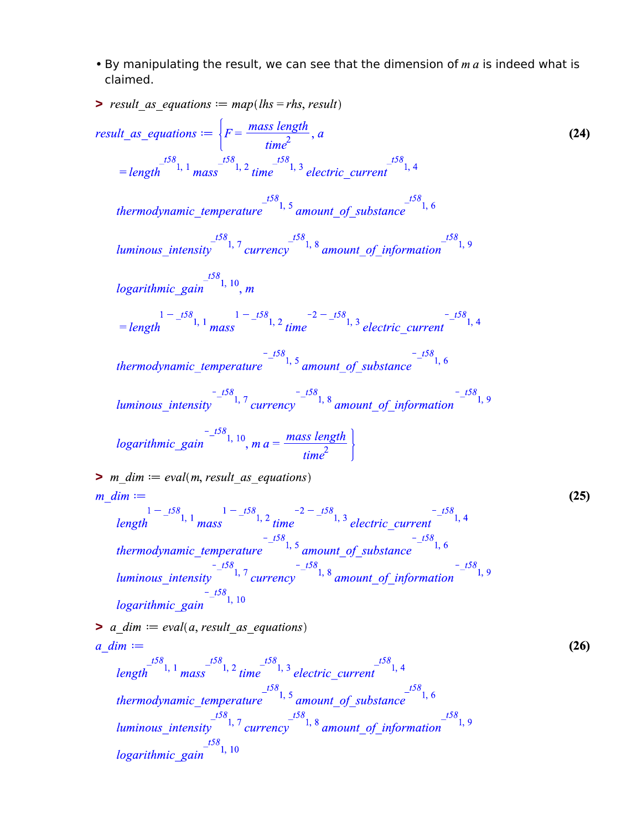• By manipulating the result, we can see that the dimension of  $m a$  is indeed what is claimed.

$$
\sum_{\text{result\_as\_equations}} \sum_{\text{equations}} \sum_{\text{sum}} \sum_{\text{sum}} \sum_{\text{sum}} \sum_{\text{sum}} \sum_{\text{sum}} \sum_{\text{sum}} \sum_{\text{sum}} \sum_{\text{sum}} \sum_{\text{sum}} \sum_{\text{sum}} \sum_{\text{sum}} \sum_{\text{sum}} \sum_{\text{sum}} \sum_{\text{sum}} \sum_{\text{sum}} \sum_{\text{sum}} \sum_{\text{sum}} \sum_{\text{sum}} \sum_{\text{sum}} \sum_{\text{sum}} \sum_{\text{sum}} \sum_{\text{sum}} \sum_{\text{sum}} \sum_{\text{sum}} \sum_{\text{sum}} \sum_{\text{sum}} \sum_{\text{sum}} \sum_{\text{sum}} \sum_{\text{sum}} \sum_{\text{sum}} \sum_{\text{sum}} \sum_{\text{sum}} \sum_{\text{sum}} \sum_{\text{sum}} \sum_{\text{sum}} \sum_{\text{sum}} \sum_{\text{sum}} \sum_{\text{sum}} \sum_{\text{sum}} \sum_{\text{sum}} \sum_{\text{sum}} \sum_{\text{sum}} \sum_{\text{sum}} \sum_{\text{sum}} \sum_{\text{sum}} \sum_{\text{sum}} \sum_{\text{sum}} \sum_{\text{sum}} \sum_{\text{sum}} \sum_{\text{sum}} \sum_{\text{sum}} \sum_{\text{sum}} \sum_{\text{sum}} \sum_{\text{sum}} \sum_{\text{sum}} \sum_{\text{sum}} \sum_{\text{sum}} \sum_{\text{sum}} \sum_{\text{sum}} \sum_{\text{sum}} \sum_{\text{sum}} \sum_{\text{sum}} \sum_{\text{sum}} \sum_{\text{sum}} \sum_{\text{sum}} \sum_{\text{sum}} \sum_{\text{sum}} \sum_{\text{sum}} \sum_{\text{sum}} \sum_{\text{sum}} \sum_{\text{sum}} \sum_{\text{sum}} \sum_{\text{sum}} \sum_{\text{sum}} \sum_{\text{sum}} \sum_{\text{sum}} \sum_{\text{sum}} \sum_{\text{sum}} \sum_{\text{sum}} \sum_{\text{sum}} \sum_{\text{sum}} \sum_{\text{sum}} \sum_{\text{sum}} \sum_{\text{sum}} \sum_{\text{sum}} \sum_{\text{sum}} \sum_{\text{sum}} \sum_{\text{sum}} \sum_{\text{sum}} \sum_{\text{sum}} \sum_{\text{sum}} \sum_{\text{sum}} \sum
$$